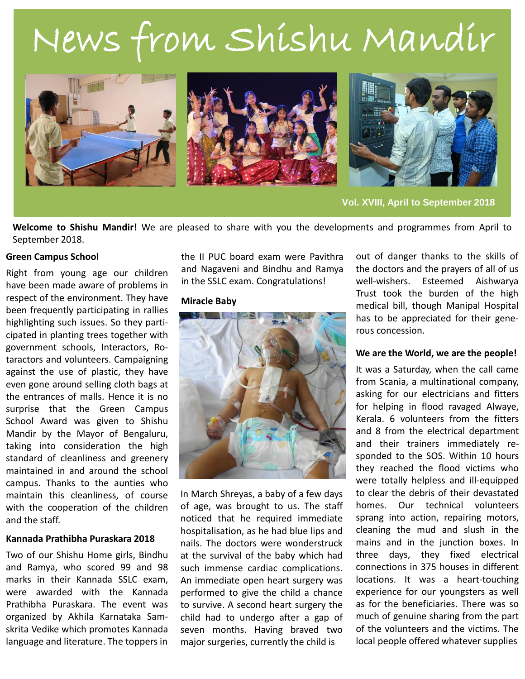# News from Shishu Mandir



**Vol. XVIII, April to September 2018**

**Welcome to Shishu Mandir!** We are pleased to share with you the developments and programmes from April to September 2018.

# **Green Campus School**

Right from young age our children have been made aware of problems in respect of the environment. They have been frequently participating in rallies highlighting such issues. So they participated in planting trees together with government schools, Interactors, Rotaractors and volunteers. Campaigning against the use of plastic, they have even gone around selling cloth bags at the entrances of malls. Hence it is no surprise that the Green Campus School Award was given to Shishu Mandir by the Mayor of Bengaluru, taking into consideration the high standard of cleanliness and greenery maintained in and around the school campus. Thanks to the aunties who maintain this cleanliness, of course with the cooperation of the children and the staff.

#### **Kannada Prathibha Puraskara 2018**

Two of our Shishu Home girls, Bindhu and Ramya, who scored 99 and 98 marks in their Kannada SSLC exam, were awarded with the Kannada Prathibha Puraskara. The event was organized by Akhila Karnataka Samskrita Vedike which promotes Kannada language and literature. The toppers in

the II PUC board exam were Pavithra and Nagaveni and Bindhu and Ramya in the SSLC exam. Congratulations!

#### **Miracle Baby**



In March Shreyas, a baby of a few days of age, was brought to us. The staff noticed that he required immediate hospitalisation, as he had blue lips and nails. The doctors were wonderstruck at the survival of the baby which had such immense cardiac complications. An immediate open heart surgery was performed to give the child a chance to survive. A second heart surgery the child had to undergo after a gap of seven months. Having braved two major surgeries, currently the child is

out of danger thanks to the skills of the doctors and the prayers of all of us well-wishers. Esteemed Aishwarya Trust took the burden of the high medical bill, though Manipal Hospital has to be appreciated for their generous concession.

## **We are the World, we are the people!**

It was a Saturday, when the call came from Scania, a multinational company, asking for our electricians and fitters for helping in flood ravaged Alwaye, Kerala. 6 volunteers from the fitters and 8 from the electrical department and their trainers immediately responded to the SOS. Within 10 hours they reached the flood victims who were totally helpless and ill-equipped to clear the debris of their devastated homes. Our technical volunteers sprang into action, repairing motors, cleaning the mud and slush in the mains and in the junction boxes. In three days, they fixed electrical connections in 375 houses in different locations. It was a heart-touching experience for our youngsters as well as for the beneficiaries. There was so much of genuine sharing from the part of the volunteers and the victims. The local people offered whatever supplies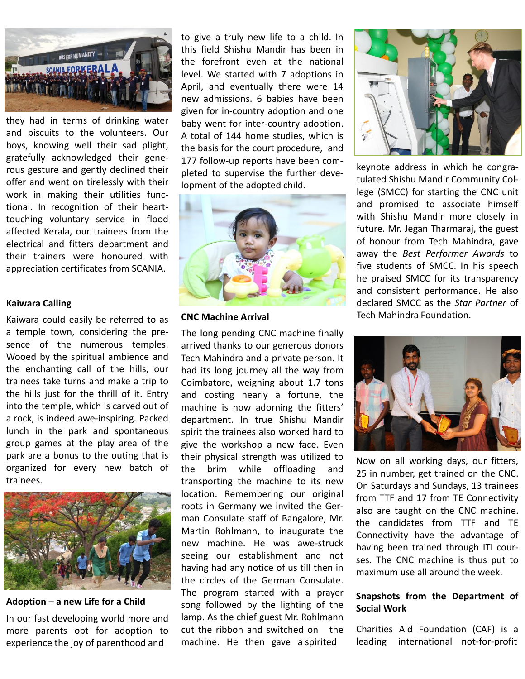

they had in terms of drinking water and biscuits to the volunteers. Our boys, knowing well their sad plight, gratefully acknowledged their generous gesture and gently declined their offer and went on tirelessly with their work in making their utilities functional. In recognition of their hearttouching voluntary service in flood affected Kerala, our trainees from the electrical and fitters department and their trainers were honoured with appreciation certificates from SCANIA.

# **Kaiwara Calling**

Kaiwara could easily be referred to as a temple town, considering the presence of the numerous temples. Wooed by the spiritual ambience and the enchanting call of the hills, our trainees take turns and make a trip to the hills just for the thrill of it. Entry into the temple, which is carved out of a rock, is indeed awe-inspiring. Packed lunch in the park and spontaneous group games at the play area of the park are a bonus to the outing that is organized for every new batch of trainees.



**Adoption – a new Life for a Child**

In our fast developing world more and more parents opt for adoption to experience the joy of parenthood and

to give a truly new life to a child. In this field Shishu Mandir has been in the forefront even at the national level. We started with 7 adoptions in April, and eventually there were 14 new admissions. 6 babies have been given for in-country adoption and one baby went for inter-country adoption. A total of 144 home studies, which is the basis for the court procedure, and 177 follow-up reports have been completed to supervise the further development of the adopted child.



# **CNC Machine Arrival**

The long pending CNC machine finally arrived thanks to our generous donors Tech Mahindra and a private person. It had its long journey all the way from Coimbatore, weighing about 1.7 tons and costing nearly a fortune, the machine is now adorning the fitters' department. In true Shishu Mandir spirit the trainees also worked hard to give the workshop a new face. Even their physical strength was utilized to the brim while offloading and transporting the machine to its new location. Remembering our original roots in Germany we invited the German Consulate staff of Bangalore, Mr. Martin Rohlmann, to inaugurate the new machine. He was awe-struck seeing our establishment and not having had any notice of us till then in the circles of the German Consulate. The program started with a prayer song followed by the lighting of the lamp. As the chief guest Mr. Rohlmann cut the ribbon and switched on the machine. He then gave a spirited



keynote address in which he congratulated Shishu Mandir Community College (SMCC) for starting the CNC unit and promised to associate himself with Shishu Mandir more closely in future. Mr. Jegan Tharmaraj, the guest of honour from Tech Mahindra, gave away the *Best Performer Awards* to five students of SMCC. In his speech he praised SMCC for its transparency and consistent performance. He also declared SMCC as the *Star Partner* of Tech Mahindra Foundation.



Now on all working days, our fitters, 25 in number, get trained on the CNC. On Saturdays and Sundays, 13 trainees from TTF and 17 from TE Connectivity also are taught on the CNC machine. the candidates from TTF and TE Connectivity have the advantage of having been trained through ITI courses. The CNC machine is thus put to maximum use all around the week.

# **Snapshots from the Department of Social Work**

Charities Aid Foundation (CAF) is a leading international not-for-profit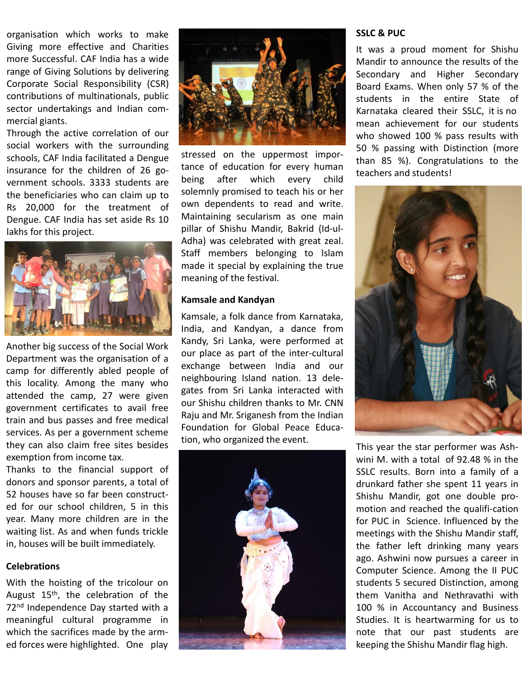organisation which works to make Giving more effective and Charities more Successful. CAF India has a wide range of Giving Solutions by delivering Corporate Social Responsibility (CSR) contributions of multinationals, public sector undertakings and Indian commercial giants.

Through the active correlation of our social workers with the surrounding schools, CAF India facilitated a Dengue insurance for the children of 26 government schools. 3333 students are the beneficiaries who can claim up to Rs 20,000 for the treatment of Dengue. CAF India has set aside Rs 10 lakhs for this project.



Another big success of the Social Work Department was the organisation of a camp for differently abled people of this locality. Among the many who attended the camp, 27 were given government certificates to avail free train and bus passes and free medical services. As per a government scheme they can also claim free sites besides exemption from income tax.

Thanks to the financial support of donors and sponsor parents, a total of 52 houses have so far been constructed for our school children, 5 in this year. Many more children are in the waiting list. As and when funds trickle in, houses will be built immediately.

#### **Celebrations**

With the hoisting of the tricolour on August 15<sup>th</sup>, the celebration of the 72<sup>nd</sup> Independence Day started with a meaningful cultural programme in which the sacrifices made by the armed forces were highlighted. One play



stressed on the uppermost importance of education for every human being after which every child solemnly promised to teach his or her own dependents to read and write. Maintaining secularism as one main pillar of Shishu Mandir, Bakrid (Id-ul-Adha) was celebrated with great zeal. Staff members belonging to Islam made it special by explaining the true meaning of the festival.

#### **Kamsale and Kandyan**

Kamsale, a folk dance from Karnataka, India, and Kandyan, a dance from Kandy, Sri Lanka, were performed at our place as part of the inter-cultural exchange between India and our neighbouring Island nation. 13 delegates from Sri Lanka interacted with our Shishu children thanks to Mr. CNN Raju and Mr. Sriganesh from the Indian Foundation for Global Peace Education, who organized the event.



#### **SSLC & PUC**

It was a proud moment for Shishu Mandir to announce the results of the Secondary and Higher Secondary Board Exams. When only 57 % of the students in the entire State of Karnataka cleared their SSLC, it is no mean achievement for our students who showed 100 % pass results with 50 % passing with Distinction (more than 85 %). Congratulations to the teachers and students!



This year the star performer was Ashwini M. with a total of 92.48 % in the SSLC results. Born into a family of a drunkard father she spent 11 years in Shishu Mandir, got one double promotion and reached the qualifi-cation for PUC in Science. Influenced by the meetings with the Shishu Mandir staff, the father left drinking many years ago. Ashwini now pursues a career in Computer Science. Among the II PUC students 5 secured Distinction, among them Vanitha and Nethravathi with 100 % in Accountancy and Business Studies. It is heartwarming for us to note that our past students are keeping the Shishu Mandir flag high.